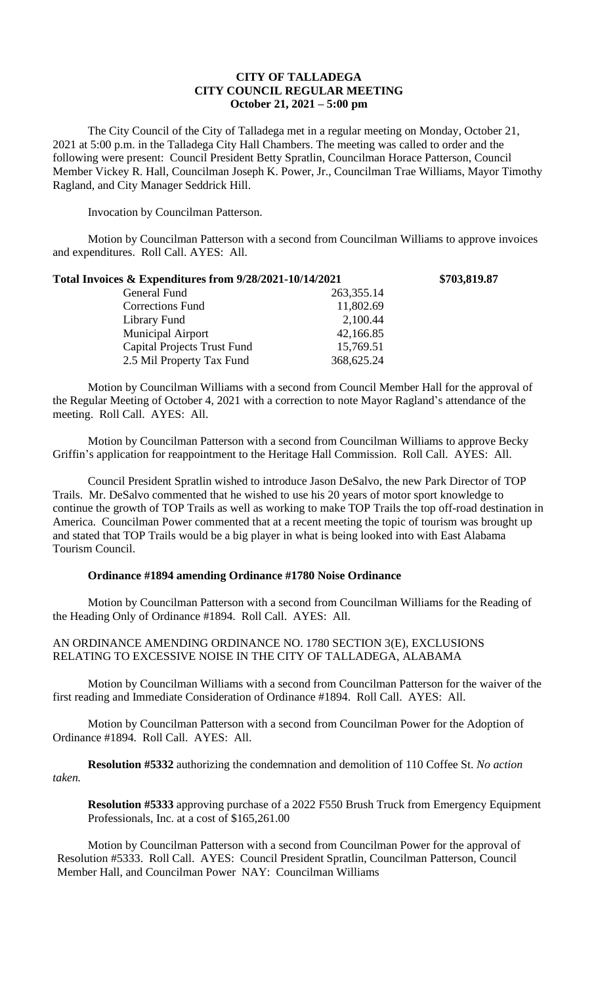## **CITY OF TALLADEGA CITY COUNCIL REGULAR MEETING October 21, 2021 – 5:00 pm**

The City Council of the City of Talladega met in a regular meeting on Monday, October 21, 2021 at 5:00 p.m. in the Talladega City Hall Chambers. The meeting was called to order and the following were present: Council President Betty Spratlin, Councilman Horace Patterson, Council Member Vickey R. Hall, Councilman Joseph K. Power, Jr., Councilman Trae Williams, Mayor Timothy Ragland, and City Manager Seddrick Hill.

Invocation by Councilman Patterson.

Motion by Councilman Patterson with a second from Councilman Williams to approve invoices and expenditures. Roll Call. AYES: All.

| Total Invoices & Expenditures from 9/28/2021-10/14/2021 | \$703,819.87 |
|---------------------------------------------------------|--------------|
| 263, 355. 14                                            |              |
| 11,802.69                                               |              |
| 2,100.44                                                |              |
| 42,166.85                                               |              |
| 15,769.51                                               |              |
| 368,625.24                                              |              |
|                                                         |              |

Motion by Councilman Williams with a second from Council Member Hall for the approval of the Regular Meeting of October 4, 2021 with a correction to note Mayor Ragland's attendance of the meeting. Roll Call. AYES: All.

Motion by Councilman Patterson with a second from Councilman Williams to approve Becky Griffin's application for reappointment to the Heritage Hall Commission. Roll Call. AYES: All.

Council President Spratlin wished to introduce Jason DeSalvo, the new Park Director of TOP Trails. Mr. DeSalvo commented that he wished to use his 20 years of motor sport knowledge to continue the growth of TOP Trails as well as working to make TOP Trails the top off-road destination in America. Councilman Power commented that at a recent meeting the topic of tourism was brought up and stated that TOP Trails would be a big player in what is being looked into with East Alabama Tourism Council.

## **Ordinance #1894 amending Ordinance #1780 Noise Ordinance**

Motion by Councilman Patterson with a second from Councilman Williams for the Reading of the Heading Only of Ordinance #1894. Roll Call. AYES: All.

## AN ORDINANCE AMENDING ORDINANCE NO. 1780 SECTION 3(E), EXCLUSIONS RELATING TO EXCESSIVE NOISE IN THE CITY OF TALLADEGA, ALABAMA

Motion by Councilman Williams with a second from Councilman Patterson for the waiver of the first reading and Immediate Consideration of Ordinance #1894. Roll Call. AYES: All.

Motion by Councilman Patterson with a second from Councilman Power for the Adoption of Ordinance #1894. Roll Call. AYES: All.

**Resolution #5332** authorizing the condemnation and demolition of 110 Coffee St. *No action taken.*

**Resolution #5333** approving purchase of a 2022 F550 Brush Truck from Emergency Equipment Professionals, Inc. at a cost of \$165,261.00

Motion by Councilman Patterson with a second from Councilman Power for the approval of Resolution #5333. Roll Call. AYES: Council President Spratlin, Councilman Patterson, Council Member Hall, and Councilman Power NAY: Councilman Williams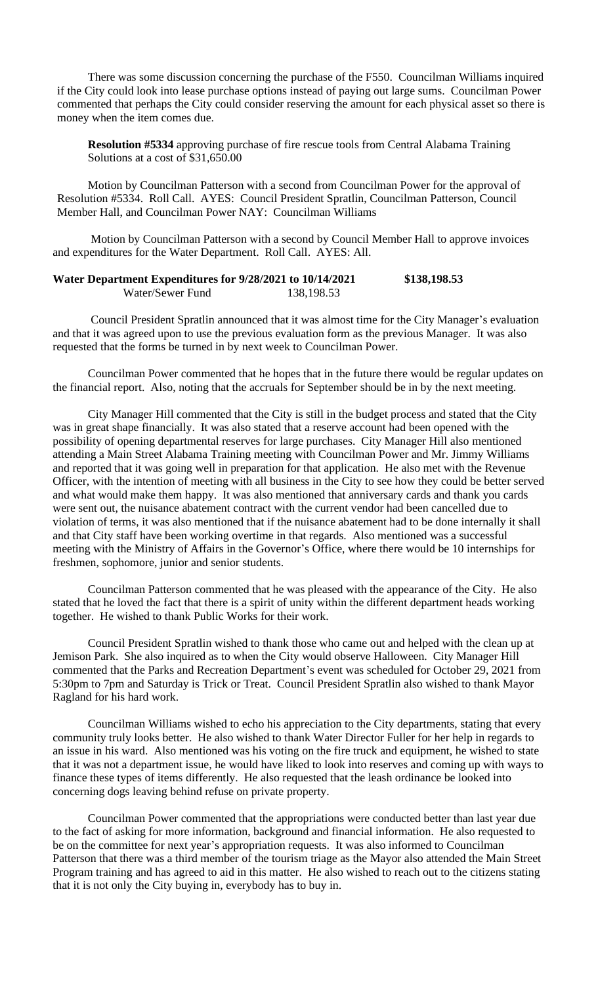There was some discussion concerning the purchase of the F550. Councilman Williams inquired if the City could look into lease purchase options instead of paying out large sums. Councilman Power commented that perhaps the City could consider reserving the amount for each physical asset so there is money when the item comes due.

**Resolution #5334** approving purchase of fire rescue tools from Central Alabama Training Solutions at a cost of \$31,650.00

Motion by Councilman Patterson with a second from Councilman Power for the approval of Resolution #5334. Roll Call. AYES: Council President Spratlin, Councilman Patterson, Council Member Hall, and Councilman Power NAY: Councilman Williams

Motion by Councilman Patterson with a second by Council Member Hall to approve invoices and expenditures for the Water Department. Roll Call. AYES: All.

| Water Department Expenditures for 9/28/2021 to 10/14/2021 |            | \$138,198.53 |
|-----------------------------------------------------------|------------|--------------|
| Water/Sewer Fund                                          | 138,198.53 |              |

Council President Spratlin announced that it was almost time for the City Manager's evaluation and that it was agreed upon to use the previous evaluation form as the previous Manager. It was also requested that the forms be turned in by next week to Councilman Power.

Councilman Power commented that he hopes that in the future there would be regular updates on the financial report. Also, noting that the accruals for September should be in by the next meeting.

City Manager Hill commented that the City is still in the budget process and stated that the City was in great shape financially. It was also stated that a reserve account had been opened with the possibility of opening departmental reserves for large purchases. City Manager Hill also mentioned attending a Main Street Alabama Training meeting with Councilman Power and Mr. Jimmy Williams and reported that it was going well in preparation for that application. He also met with the Revenue Officer, with the intention of meeting with all business in the City to see how they could be better served and what would make them happy. It was also mentioned that anniversary cards and thank you cards were sent out, the nuisance abatement contract with the current vendor had been cancelled due to violation of terms, it was also mentioned that if the nuisance abatement had to be done internally it shall and that City staff have been working overtime in that regards. Also mentioned was a successful meeting with the Ministry of Affairs in the Governor's Office, where there would be 10 internships for freshmen, sophomore, junior and senior students.

Councilman Patterson commented that he was pleased with the appearance of the City. He also stated that he loved the fact that there is a spirit of unity within the different department heads working together. He wished to thank Public Works for their work.

Council President Spratlin wished to thank those who came out and helped with the clean up at Jemison Park. She also inquired as to when the City would observe Halloween. City Manager Hill commented that the Parks and Recreation Department's event was scheduled for October 29, 2021 from 5:30pm to 7pm and Saturday is Trick or Treat. Council President Spratlin also wished to thank Mayor Ragland for his hard work.

Councilman Williams wished to echo his appreciation to the City departments, stating that every community truly looks better. He also wished to thank Water Director Fuller for her help in regards to an issue in his ward. Also mentioned was his voting on the fire truck and equipment, he wished to state that it was not a department issue, he would have liked to look into reserves and coming up with ways to finance these types of items differently. He also requested that the leash ordinance be looked into concerning dogs leaving behind refuse on private property.

Councilman Power commented that the appropriations were conducted better than last year due to the fact of asking for more information, background and financial information. He also requested to be on the committee for next year's appropriation requests. It was also informed to Councilman Patterson that there was a third member of the tourism triage as the Mayor also attended the Main Street Program training and has agreed to aid in this matter. He also wished to reach out to the citizens stating that it is not only the City buying in, everybody has to buy in.